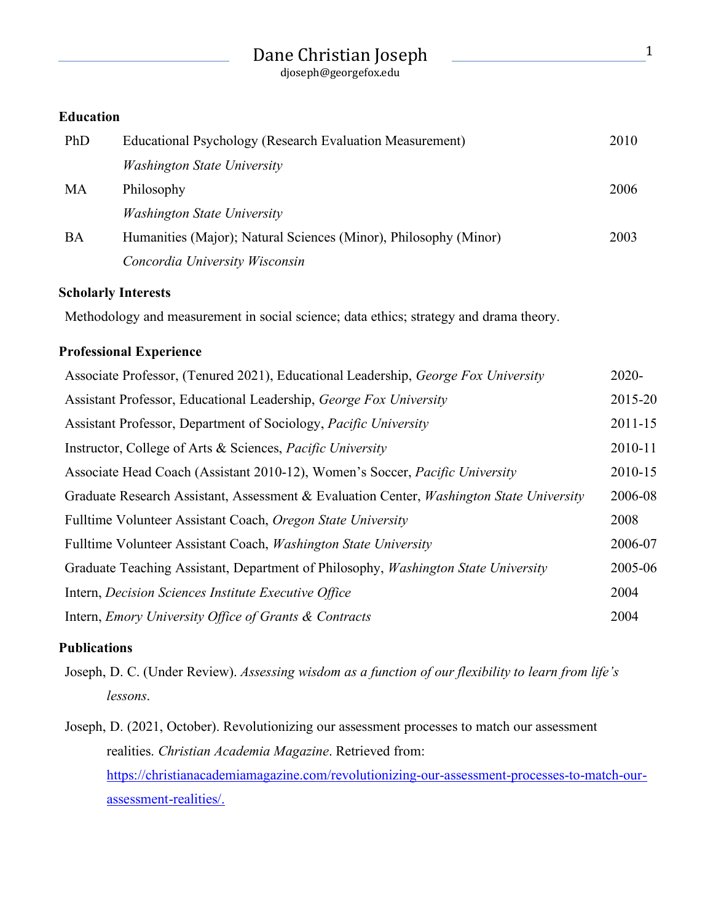|                  | Dane Christian Joseph<br>djoseph@georgefox.edu                   | 1    |
|------------------|------------------------------------------------------------------|------|
| <b>Education</b> |                                                                  |      |
| PhD              | Educational Psychology (Research Evaluation Measurement)         | 2010 |
|                  | <i>Washington State University</i>                               |      |
| <b>MA</b>        | Philosophy                                                       | 2006 |
|                  | <b>Washington State University</b>                               |      |
| <b>BA</b>        | Humanities (Major); Natural Sciences (Minor), Philosophy (Minor) | 2003 |
|                  | Concordia University Wisconsin                                   |      |

#### **Scholarly Interests**

Methodology and measurement in social science; data ethics; strategy and drama theory.

### **Professional Experience**

| Associate Professor, (Tenured 2021), Educational Leadership, George Fox University              | $2020 -$    |
|-------------------------------------------------------------------------------------------------|-------------|
| Assistant Professor, Educational Leadership, George Fox University                              | 2015-20     |
| Assistant Professor, Department of Sociology, Pacific University                                | $2011 - 15$ |
| Instructor, College of Arts & Sciences, <i>Pacific University</i>                               |             |
| Associate Head Coach (Assistant 2010-12), Women's Soccer, Pacific University                    | 2010-15     |
| Graduate Research Assistant, Assessment & Evaluation Center, <i>Washington State University</i> | 2006-08     |
| Fulltime Volunteer Assistant Coach, Oregon State University                                     | 2008        |
| Fulltime Volunteer Assistant Coach, <i>Washington State University</i>                          | 2006-07     |
| Graduate Teaching Assistant, Department of Philosophy, <i>Washington State University</i>       | 2005-06     |
| Intern, Decision Sciences Institute Executive Office                                            | 2004        |
| Intern, Emory University Office of Grants & Contracts                                           | 2004        |

#### **Publications**

Joseph, D. C. (Under Review). *Assessing wisdom as a function of our flexibility to learn from life's lessons*.

Joseph, D. (2021, October). Revolutionizing our assessment processes to match our assessment realities. *Christian Academia Magazine*. Retrieved from: https://christianacademiamagazine.com/revolutionizing-our-assessment-processes-to-match-ourassessment-realities/.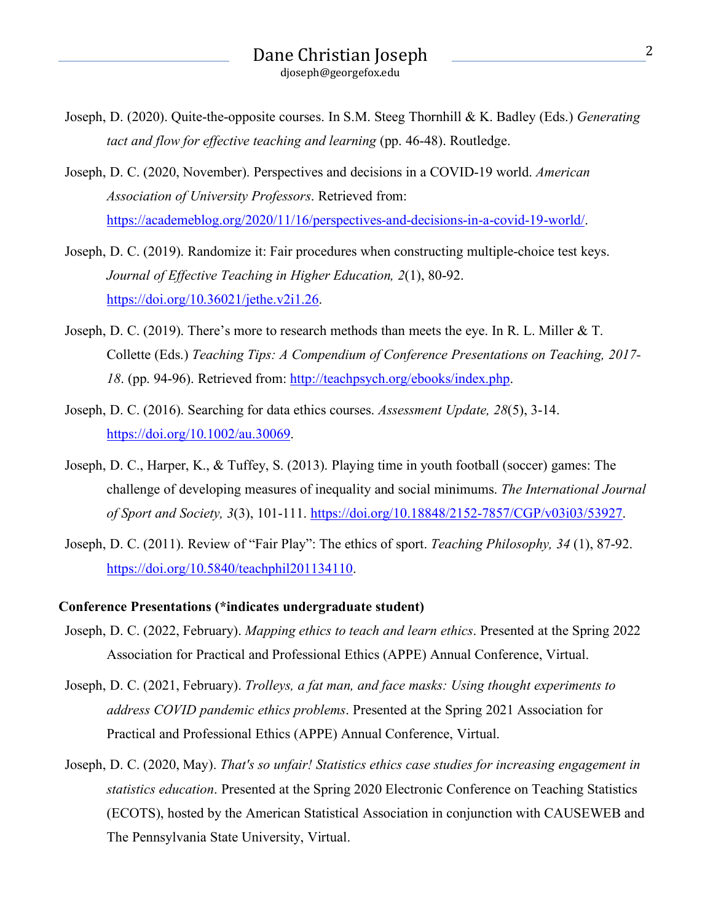- Joseph, D. (2020). Quite-the-opposite courses. In S.M. Steeg Thornhill & K. Badley (Eds.) *Generating tact and flow for effective teaching and learning* (pp. 46-48). Routledge.
- Joseph, D. C. (2020, November). Perspectives and decisions in a COVID-19 world. *American Association of University Professors*. Retrieved from: https://academeblog.org/2020/11/16/perspectives-and-decisions-in-a-covid-19-world/.
- Joseph, D. C. (2019). Randomize it: Fair procedures when constructing multiple-choice test keys. *Journal of Effective Teaching in Higher Education, 2*(1), 80-92. https://doi.org/10.36021/jethe.v2i1.26.
- Joseph, D. C. (2019). There's more to research methods than meets the eye. In R. L. Miller & T. Collette (Eds.) *Teaching Tips: A Compendium of Conference Presentations on Teaching, 2017- 18*. (pp. 94-96). Retrieved from: http://teachpsych.org/ebooks/index.php.
- Joseph, D. C. (2016). Searching for data ethics courses. *Assessment Update, 28*(5), 3-14. https://doi.org/10.1002/au.30069.
- Joseph, D. C., Harper, K., & Tuffey, S. (2013). Playing time in youth football (soccer) games: The challenge of developing measures of inequality and social minimums. *The International Journal of Sport and Society, 3*(3), 101-111. https://doi.org/10.18848/2152-7857/CGP/v03i03/53927.
- Joseph, D. C. (2011). Review of "Fair Play": The ethics of sport. *Teaching Philosophy, 34* (1), 87-92. https://doi.org/10.5840/teachphil201134110.

#### **Conference Presentations (\*indicates undergraduate student)**

- Joseph, D. C. (2022, February). *Mapping ethics to teach and learn ethics*. Presented at the Spring 2022 Association for Practical and Professional Ethics (APPE) Annual Conference, Virtual.
- Joseph, D. C. (2021, February). *Trolleys, a fat man, and face masks: Using thought experiments to address COVID pandemic ethics problems*. Presented at the Spring 2021 Association for Practical and Professional Ethics (APPE) Annual Conference, Virtual.
- Joseph, D. C. (2020, May). *That's so unfair! Statistics ethics case studies for increasing engagement in statistics education*. Presented at the Spring 2020 Electronic Conference on Teaching Statistics (ECOTS), hosted by the American Statistical Association in conjunction with CAUSEWEB and The Pennsylvania State University, Virtual.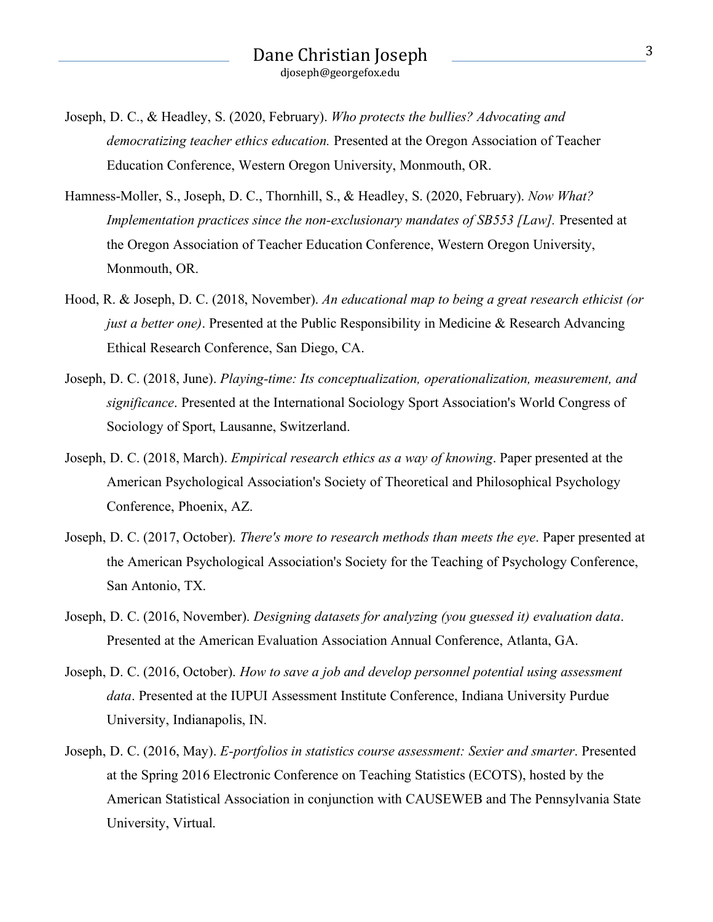- Joseph, D. C., & Headley, S. (2020, February). *Who protects the bullies? Advocating and democratizing teacher ethics education.* Presented at the Oregon Association of Teacher Education Conference, Western Oregon University, Monmouth, OR.
- Hamness-Moller, S., Joseph, D. C., Thornhill, S., & Headley, S. (2020, February). *Now What? Implementation practices since the non-exclusionary mandates of SB553 [Law].* Presented at the Oregon Association of Teacher Education Conference, Western Oregon University, Monmouth, OR.
- Hood, R. & Joseph, D. C. (2018, November). *An educational map to being a great research ethicist (or just a better one)*. Presented at the Public Responsibility in Medicine & Research Advancing Ethical Research Conference, San Diego, CA.
- Joseph, D. C. (2018, June). *Playing-time: Its conceptualization, operationalization, measurement, and significance*. Presented at the International Sociology Sport Association's World Congress of Sociology of Sport, Lausanne, Switzerland.
- Joseph, D. C. (2018, March). *Empirical research ethics as a way of knowing*. Paper presented at the American Psychological Association's Society of Theoretical and Philosophical Psychology Conference, Phoenix, AZ.
- Joseph, D. C. (2017, October). *There's more to research methods than meets the eye*. Paper presented at the American Psychological Association's Society for the Teaching of Psychology Conference, San Antonio, TX.
- Joseph, D. C. (2016, November). *Designing datasets for analyzing (you guessed it) evaluation data*. Presented at the American Evaluation Association Annual Conference, Atlanta, GA.
- Joseph, D. C. (2016, October). *How to save a job and develop personnel potential using assessment data*. Presented at the IUPUI Assessment Institute Conference, Indiana University Purdue University, Indianapolis, IN.
- Joseph, D. C. (2016, May). *E-portfolios in statistics course assessment: Sexier and smarter*. Presented at the Spring 2016 Electronic Conference on Teaching Statistics (ECOTS), hosted by the American Statistical Association in conjunction with CAUSEWEB and The Pennsylvania State University, Virtual.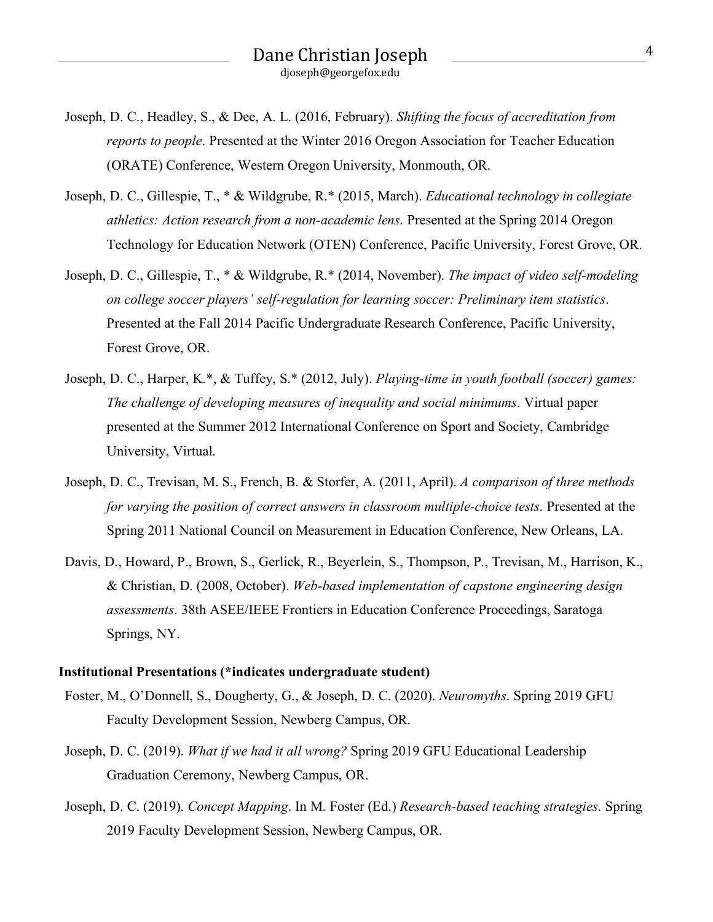- Joseph, D. C., Headley, S., & Dee, A. L. (2016, February). *Shifting the focus of accreditation from reports to people*. Presented at the Winter 2016 Oregon Association for Teacher Education (ORATE) Conference, Western Oregon University, Monmouth, OR.
- Joseph, D. C., Gillespie, T., \* & Wildgrube, R.\* (2015, March). *Educational technology in collegiate athletics: Action research from a non-academic lens*. Presented at the Spring 2014 Oregon Technology for Education Network (OTEN) Conference, Pacific University, Forest Grove, OR.
- Joseph, D. C., Gillespie, T., \* & Wildgrube, R.\* (2014, November). *The impact of video self-modeling on college soccer players' self-regulation for learning soccer: Preliminary item statistics*. Presented at the Fall 2014 Pacific Undergraduate Research Conference, Pacific University, Forest Grove, OR.
- Joseph, D. C., Harper, K.\*, & Tuffey, S.\* (2012, July). *Playing-time in youth football (soccer) games: The challenge of developing measures of inequality and social minimums*. Virtual paper presented at the Summer 2012 International Conference on Sport and Society, Cambridge University, Virtual.
- Joseph, D. C., Trevisan, M. S., French, B. & Storfer, A. (2011, April). *A comparison of three methods for varying the position of correct answers in classroom multiple-choice tests*. Presented at the Spring 2011 National Council on Measurement in Education Conference, New Orleans, LA.
- Davis, D., Howard, P., Brown, S., Gerlick, R., Beyerlein, S., Thompson, P., Trevisan, M., Harrison, K., & Christian, D. (2008, October). *Web-based implementation of capstone engineering design assessments*. 38th ASEE/IEEE Frontiers in Education Conference Proceedings, Saratoga Springs, NY.

#### **Institutional Presentations (\*indicates undergraduate student)**

- Foster, M., O'Donnell, S., Dougherty, G., & Joseph, D. C. (2020). *Neuromyths*. Spring 2019 GFU Faculty Development Session, Newberg Campus, OR.
- Joseph, D. C. (2019). *What if we had it all wrong?* Spring 2019 GFU Educational Leadership Graduation Ceremony, Newberg Campus, OR.
- Joseph, D. C. (2019). *Concept Mapping*. In M. Foster (Ed.) *Research-based teaching strategies*. Spring 2019 Faculty Development Session, Newberg Campus, OR.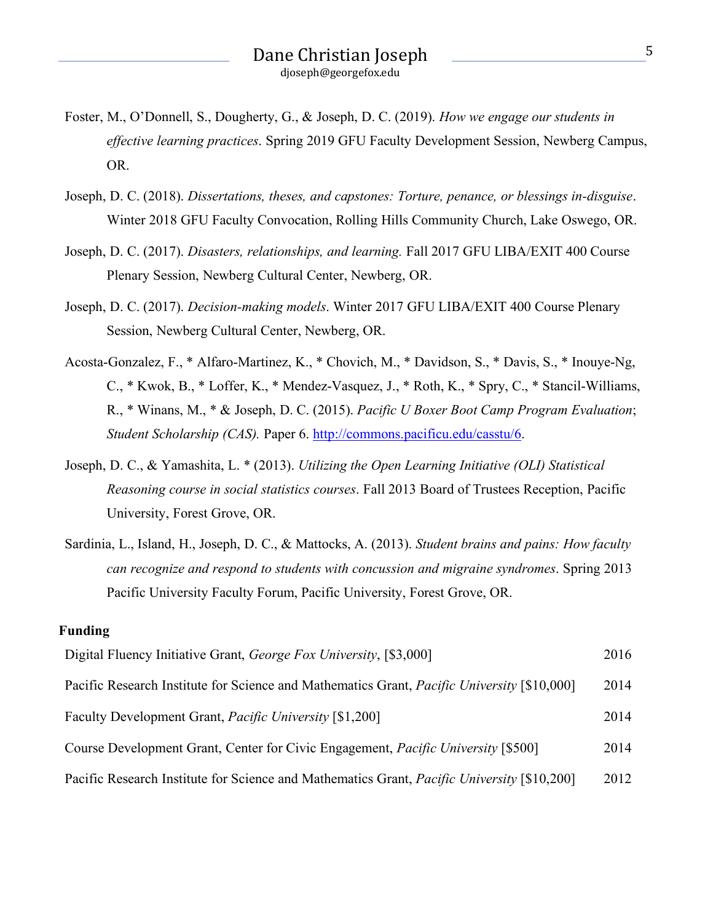- Foster, M., O'Donnell, S., Dougherty, G., & Joseph, D. C. (2019). *How we engage our students in effective learning practices*. Spring 2019 GFU Faculty Development Session, Newberg Campus, OR.
- Joseph, D. C. (2018). *Dissertations, theses, and capstones: Torture, penance, or blessings in-disguise*. Winter 2018 GFU Faculty Convocation, Rolling Hills Community Church, Lake Oswego, OR.
- Joseph, D. C. (2017). *Disasters, relationships, and learning.* Fall 2017 GFU LIBA/EXIT 400 Course Plenary Session, Newberg Cultural Center, Newberg, OR.
- Joseph, D. C. (2017). *Decision-making models*. Winter 2017 GFU LIBA/EXIT 400 Course Plenary Session, Newberg Cultural Center, Newberg, OR.
- Acosta-Gonzalez, F., \* Alfaro-Martinez, K., \* Chovich, M., \* Davidson, S., \* Davis, S., \* Inouye-Ng, C., \* Kwok, B., \* Loffer, K., \* Mendez-Vasquez, J., \* Roth, K., \* Spry, C., \* Stancil-Williams, R., \* Winans, M., \* & Joseph, D. C. (2015). *Pacific U Boxer Boot Camp Program Evaluation*; *Student Scholarship (CAS).* Paper 6. http://commons.pacificu.edu/casstu/6.
- Joseph, D. C., & Yamashita, L. \* (2013). *Utilizing the Open Learning Initiative (OLI) Statistical Reasoning course in social statistics courses*. Fall 2013 Board of Trustees Reception, Pacific University, Forest Grove, OR.
- Sardinia, L., Island, H., Joseph, D. C., & Mattocks, A. (2013). *Student brains and pains: How faculty can recognize and respond to students with concussion and migraine syndromes*. Spring 2013 Pacific University Faculty Forum, Pacific University, Forest Grove, OR.

#### **Funding**

| Digital Fluency Initiative Grant, George Fox University, [\$3,000]                                 | 2016 |
|----------------------------------------------------------------------------------------------------|------|
| Pacific Research Institute for Science and Mathematics Grant, <i>Pacific University</i> [\$10,000] | 2014 |
| Faculty Development Grant, <i>Pacific University</i> [\$1,200]                                     | 2014 |
| Course Development Grant, Center for Civic Engagement, <i>Pacific University</i> [\$500]           | 2014 |
| Pacific Research Institute for Science and Mathematics Grant, <i>Pacific University</i> [\$10,200] | 2012 |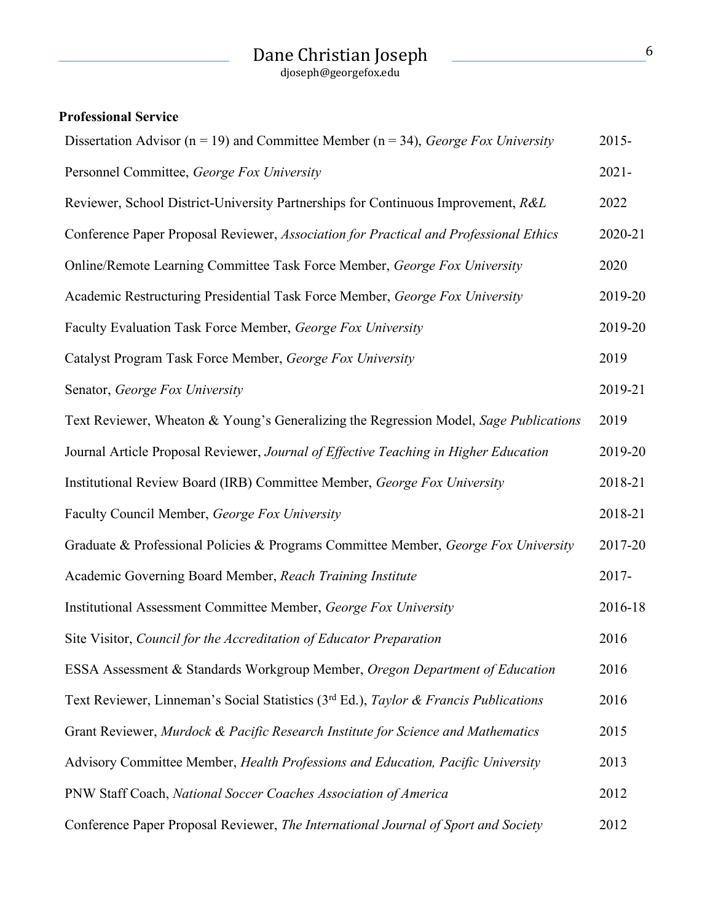# Dane Christian Joseph <sup>6</sup>

djoseph@georgefox.edu

## **Professional Service**

| Dissertation Advisor ( $n = 19$ ) and Committee Member ( $n = 34$ ), George Fox University                  |          |  |
|-------------------------------------------------------------------------------------------------------------|----------|--|
| Personnel Committee, George Fox University                                                                  | $2021 -$ |  |
| Reviewer, School District-University Partnerships for Continuous Improvement, R&L                           | 2022     |  |
| Conference Paper Proposal Reviewer, Association for Practical and Professional Ethics                       | 2020-21  |  |
| Online/Remote Learning Committee Task Force Member, George Fox University                                   | 2020     |  |
| Academic Restructuring Presidential Task Force Member, George Fox University                                | 2019-20  |  |
| Faculty Evaluation Task Force Member, George Fox University                                                 | 2019-20  |  |
| Catalyst Program Task Force Member, George Fox University                                                   | 2019     |  |
| Senator, George Fox University                                                                              | 2019-21  |  |
| Text Reviewer, Wheaton & Young's Generalizing the Regression Model, Sage Publications                       | 2019     |  |
| Journal Article Proposal Reviewer, Journal of Effective Teaching in Higher Education                        | 2019-20  |  |
| Institutional Review Board (IRB) Committee Member, George Fox University                                    | 2018-21  |  |
| Faculty Council Member, George Fox University                                                               | 2018-21  |  |
| Graduate & Professional Policies & Programs Committee Member, George Fox University                         | 2017-20  |  |
| Academic Governing Board Member, Reach Training Institute                                                   | 2017-    |  |
| Institutional Assessment Committee Member, George Fox University                                            | 2016-18  |  |
| Site Visitor, Council for the Accreditation of Educator Preparation                                         | 2016     |  |
| ESSA Assessment & Standards Workgroup Member, Oregon Department of Education                                | 2016     |  |
| Text Reviewer, Linneman's Social Statistics (3 <sup>rd</sup> Ed.), <i>Taylor &amp; Francis Publications</i> | 2016     |  |
| Grant Reviewer, Murdock & Pacific Research Institute for Science and Mathematics                            | 2015     |  |
| Advisory Committee Member, Health Professions and Education, Pacific University                             | 2013     |  |
| PNW Staff Coach, National Soccer Coaches Association of America                                             |          |  |
| Conference Paper Proposal Reviewer, The International Journal of Sport and Society                          | 2012     |  |